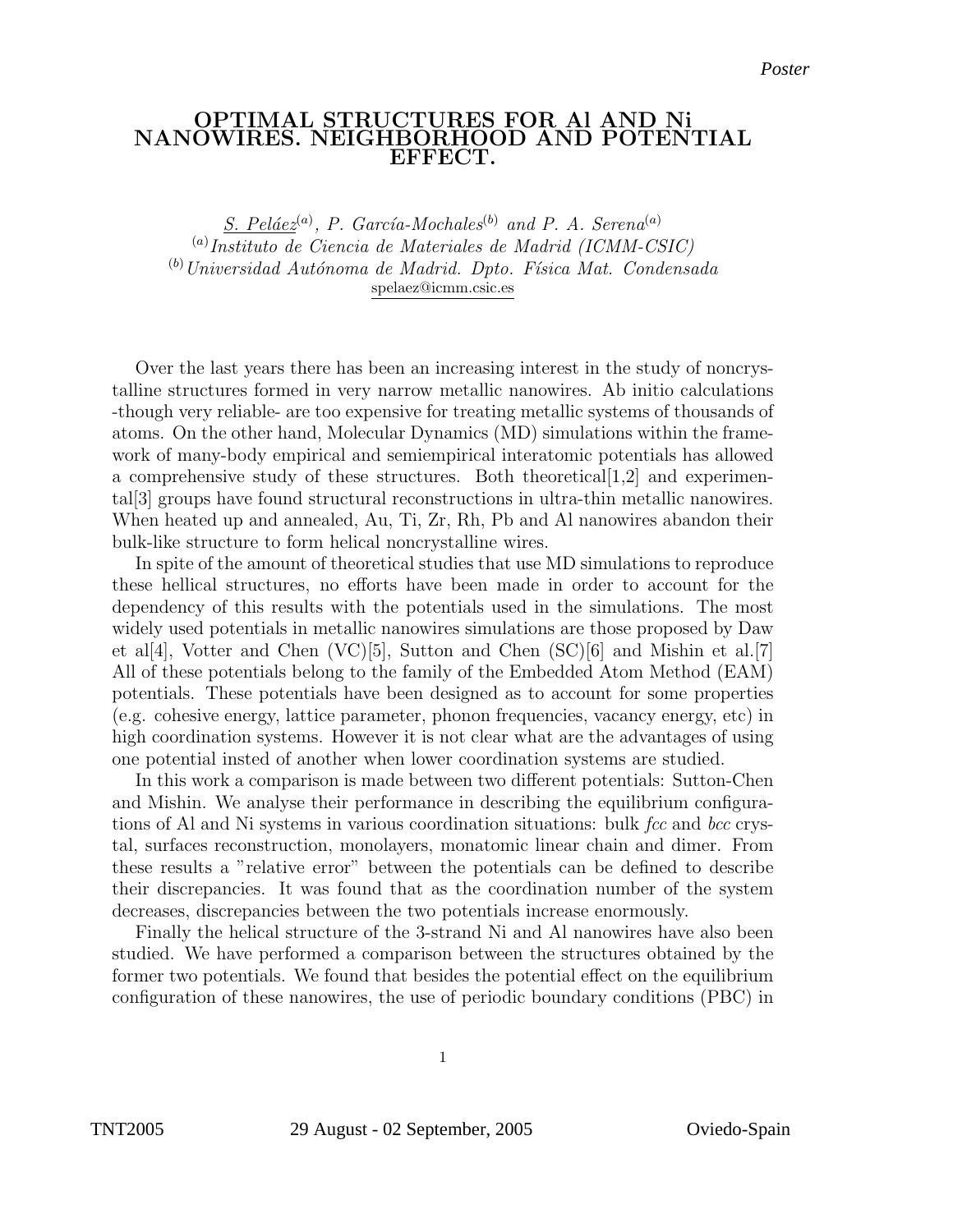## OPTIMAL STRUCTURES FOR Al AND Ni NANOWIRES. NEIGH<u>BORHO</u>OD AND POTENTIAL EFFECT.

 $S.$  Peláez<sup>(a)</sup>, P. García-Mochales<sup>(b)</sup> and P. A. Serena<sup>(a)</sup> (a) Instituto de Ciencia de Materiales de Madrid (ICMM-CSIC)  $<sup>(b)</sup> Universidad Autónoma de Madrid. Dpto. Física Mat. Condensada$ </sup> spelaez@icmm.csic.es

Over the last years there has been an increasing interest in the study of noncrystalline structures formed in very narrow metallic nanowires. Ab initio calculations -though very reliable- are too expensive for treating metallic systems of thousands of atoms. On the other hand, Molecular Dynamics (MD) simulations within the framework of many-body empirical and semiempirical interatomic potentials has allowed a comprehensive study of these structures. Both theoretical  $[1,2]$  and experimental[3] groups have found structural reconstructions in ultra-thin metallic nanowires. When heated up and annealed, Au, Ti, Zr, Rh, Pb and Al nanowires abandon their bulk-like structure to form helical noncrystalline wires.

In spite of the amount of theoretical studies that use MD simulations to reproduce these hellical structures, no efforts have been made in order to account for the dependency of this results with the potentials used in the simulations. The most widely used potentials in metallic nanowires simulations are those proposed by Daw et al[4], Votter and Chen  $(VC)[5]$ , Sutton and Chen  $(SC)[6]$  and Mishin et al. [7] All of these potentials belong to the family of the Embedded Atom Method (EAM) potentials. These potentials have been designed as to account for some properties (e.g. cohesive energy, lattice parameter, phonon frequencies, vacancy energy, etc) in high coordination systems. However it is not clear what are the advantages of using one potential insted of another when lower coordination systems are studied.

In this work a comparison is made between two different potentials: Sutton-Chen and Mishin. We analyse their performance in describing the equilibrium configurations of Al and Ni systems in various coordination situations: bulk  $\beta$  fcc and bcc crystal, surfaces reconstruction, monolayers, monatomic linear chain and dimer. From these results a "relative error" between the potentials can be defined to describe their discrepancies. It was found that as the coordination number of the system decreases, discrepancies between the two potentials increase enormously.

Finally the helical structure of the 3-strand Ni and Al nanowires have also been studied. We have performed a comparison between the structures obtained by the former two potentials. We found that besides the potential effect on the equilibrium configuration of these nanowires, the use of periodic boundary conditions (PBC) in